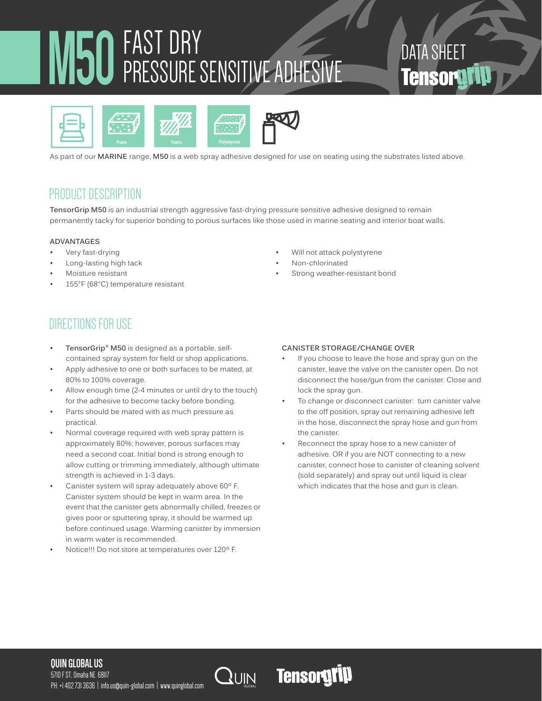## M50 FAST DRY PRESSURE SENSITIVE ADHESIVE

## DATA SHEET **Tensorati**



As part of our **MARINE** range, **M50** is a web spray adhesive designed for use on seating using the substrates listed above.

## PRODUCT DESCRIPTION

**TensorGrip M50** is an industrial strength aggressive fast-drying pressure sensitive adhesive designed to remain permanently tacky for superior bonding to porous surfaces like those used in marine seating and interior boat walls.

#### **ADVANTAGES**

- Very fast-drying
- Long-lasting high tack
- Moisture resistant
- 155°F (68°C) temperature resistant

## DIRECTIONS FOR USE

- **• TensorGrip® M50** is designed as a portable, selfcontained spray system for field or shop applications.
- Apply adhesive to one or both surfaces to be mated, at 80% to 100% coverage.
- Allow enough time (2-4 minutes or until dry to the touch) for the adhesive to become tacky before bonding.
- Parts should be mated with as much pressure as practical.
- Normal coverage required with web spray pattern is approximately 80%; however, porous surfaces may need a second coat. Initial bond is strong enough to allow cutting or trimming immediately, although ultimate strength is achieved in 1-3 days.
- Canister system will spray adequately above 60º F. Canister system should be kept in warm area. In the event that the canister gets abnormally chilled, freezes or gives poor or sputtering spray, it should be warmed up before continued usage. Warming canister by immersion in warm water is recommended.
- Notice!!! Do not store at temperatures over 120º F.
- Will not attack polystyrene
- Non-chlorinated
- Strong weather-resistant bond

#### **CANISTER STORAGE/CHANGE OVER**

- If you choose to leave the hose and spray gun on the canister, leave the valve on the canister open. Do not disconnect the hose/gun from the canister. Close and lock the spray gun.
- To change or disconnect canister: turn canister valve to the off position, spray out remaining adhesive left in the hose, disconnect the spray hose and gun from the canister.
- Reconnect the spray hose to a new canister of adhesive. OR if you are NOT connecting to a new canister, connect hose to canister of cleaning solvent (sold separately) and spray out until liquid is clear which indicates that the hose and gun is clean.

#### **QUIN GLOBAL US**

5710 F ST, Omaha NE 68117 PH: +1 402 731 3636 | info.us@quin-global.com | www.quinglobal.com



## **Tensorgrip**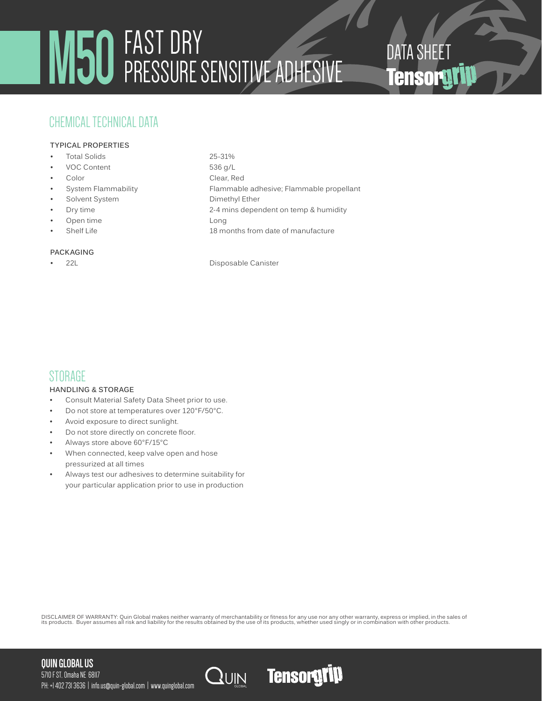# **M50**FAST DRY DATA SHEET PRESSURE SENSITIVE ADHESIVE

## CHEMICAL TECHNICAL DATA

#### **TYPICAL PROPERTIES**

- Total Solids 25-31%
- VOC Content 536 g/L
- 
- 
- Solvent System Dimethyl Ether
- 
- Open time Long
- 

#### **PACKAGING**

• Color Clear, Red System Flammability Flammable adhesive; Flammable propellant • Dry time 2-4 mins dependent on temp & humidity Figure 18 months from date of manufacture 18 months from date of manufacture

22L Disposable Canister

## STORAGE

#### **HANDLING & STORAGE**

- Consult Material Safety Data Sheet prior to use.
- Do not store at temperatures over 120°F/50°C.
- Avoid exposure to direct sunlight.
- Do not store directly on concrete floor.
- Always store above 60°F/15°C
- When connected, keep valve open and hose pressurized at all times
- Always test our adhesives to determine suitability for your particular application prior to use in production

DISCLAIMER OF WARRANTY: Quin Global makes neither warranty of merchantability or fitness for any use nor any other warranty, express or implied, in the sales of<br>its products. Buyer assumes all risk and liability for the r

#### **QUIN GLOBAL US**



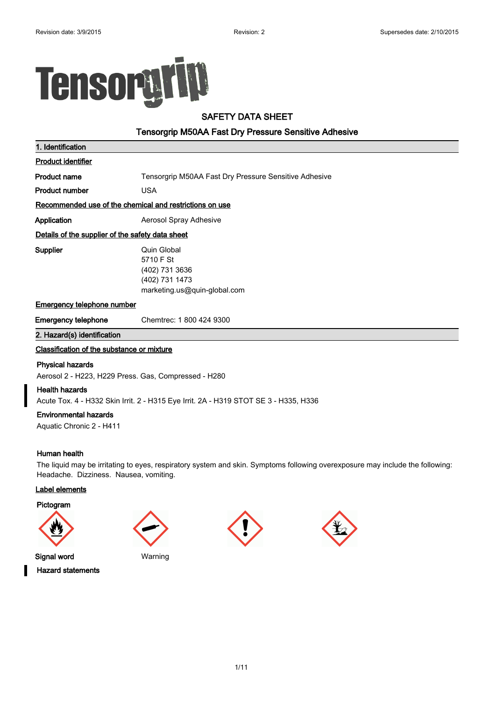

#### **SAFETY DATA SHEET**

#### **Tensorgrip M50AA Fast Dry Pressure Sensitive Adhesive**

| 1. Identification                                |                                                                                              |
|--------------------------------------------------|----------------------------------------------------------------------------------------------|
| <b>Product identifier</b>                        |                                                                                              |
| Product name                                     | Tensorgrip M50AA Fast Dry Pressure Sensitive Adhesive                                        |
| Product number                                   | <b>USA</b>                                                                                   |
|                                                  | Recommended use of the chemical and restrictions on use                                      |
| Application                                      | Aerosol Spray Adhesive                                                                       |
| Details of the supplier of the safety data sheet |                                                                                              |
| <b>Supplier</b>                                  | Quin Global<br>5710 F St<br>(402) 731 3636<br>(402) 731 1473<br>marketing.us@quin-global.com |
| <b>Emergency telephone number</b>                |                                                                                              |
| <b>Emergency telephone</b>                       | Chemtrec: 1800 424 9300                                                                      |
| 2. Hazard(s) identification                      |                                                                                              |
| Classification of the substance or mixture       |                                                                                              |
| <b>Physical hazards</b>                          |                                                                                              |

Aerosol 2 - H223, H229 Press. Gas, Compressed - H280

#### **Health hazards**

Acute Tox. 4 - H332 Skin Irrit. 2 - H315 Eye Irrit. 2A - H319 STOT SE 3 - H335, H336

#### **Environmental hazards**

Aquatic Chronic 2 - H411

#### **Human health**

The liquid may be irritating to eyes, respiratory system and skin. Symptoms following overexposure may include the following: Headache. Dizziness. Nausea, vomiting.

#### **Label elements**

**Pictogram**







**Hazard statements**

**Signal word** Warning

1/11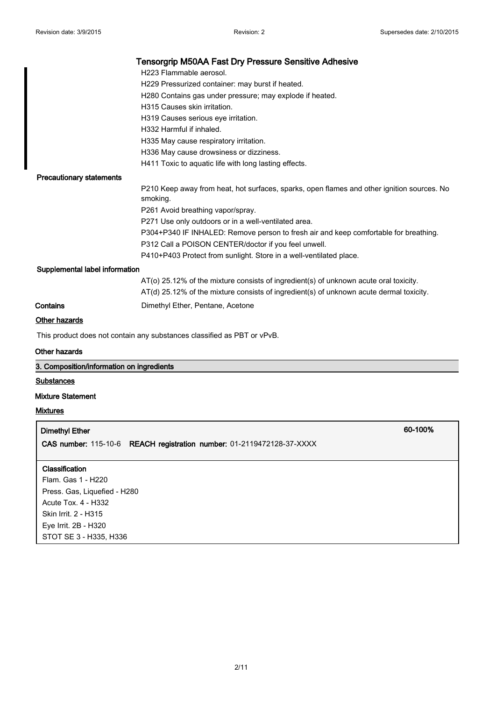|                                 | <b>Tensorgrip M50AA Fast Dry Pressure Sensitive Adhesive</b>                                           |
|---------------------------------|--------------------------------------------------------------------------------------------------------|
|                                 | H223 Flammable aerosol.                                                                                |
|                                 | H229 Pressurized container: may burst if heated.                                                       |
|                                 | H280 Contains gas under pressure; may explode if heated.                                               |
|                                 | H315 Causes skin irritation.                                                                           |
|                                 | H319 Causes serious eye irritation.                                                                    |
|                                 | H332 Harmful if inhaled.                                                                               |
|                                 | H335 May cause respiratory irritation.                                                                 |
|                                 | H336 May cause drowsiness or dizziness.                                                                |
|                                 | H411 Toxic to aquatic life with long lasting effects.                                                  |
| <b>Precautionary statements</b> |                                                                                                        |
|                                 | P210 Keep away from heat, hot surfaces, sparks, open flames and other ignition sources. No<br>smoking. |
|                                 | P261 Avoid breathing vapor/spray.                                                                      |
|                                 | P271 Use only outdoors or in a well-ventilated area.                                                   |
|                                 | P304+P340 IF INHALED: Remove person to fresh air and keep comfortable for breathing.                   |
|                                 | P312 Call a POISON CENTER/doctor if you feel unwell.                                                   |
|                                 | P410+P403 Protect from sunlight. Store in a well-ventilated place.                                     |
| Supplemental label information  |                                                                                                        |
|                                 | $AT$ (o) 25.12% of the mixture consists of ingredient(s) of unknown acute oral toxicity.               |
|                                 | AT(d) 25.12% of the mixture consists of ingredient(s) of unknown acute dermal toxicity.                |
| Contains                        | Dimethyl Ether, Pentane, Acetone                                                                       |

#### **Other hazards**

This product does not contain any substances classified as PBT or vPvB.

#### **Other hazards**

| 3. Composition/information on ingredients                             |         |  |  |
|-----------------------------------------------------------------------|---------|--|--|
| <b>Substances</b>                                                     |         |  |  |
| <b>Mixture Statement</b>                                              |         |  |  |
| <b>Mixtures</b>                                                       |         |  |  |
| <b>Dimethyl Ether</b>                                                 | 60-100% |  |  |
| CAS number: 115-10-6 REACH registration number: 01-2119472128-37-XXXX |         |  |  |
| <b>Classification</b>                                                 |         |  |  |
| Flam. Gas 1 - H220                                                    |         |  |  |
| Press. Gas, Liquefied - H280                                          |         |  |  |
| Acute Tox. 4 - H332                                                   |         |  |  |
| Skin Irrit. 2 - H315                                                  |         |  |  |
| Eye Irrit. 2B - H320                                                  |         |  |  |
| STOT SE 3 - H335, H336                                                |         |  |  |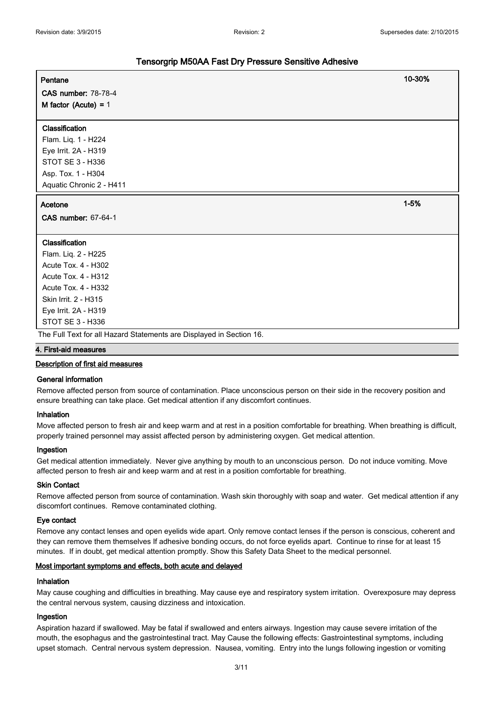| Pentane                                                              | 10-30%   |
|----------------------------------------------------------------------|----------|
| <b>CAS number: 78-78-4</b>                                           |          |
| M factor (Acute) = $1$                                               |          |
|                                                                      |          |
| Classification                                                       |          |
| Flam. Liq. 1 - H224                                                  |          |
| Eye Irrit. 2A - H319                                                 |          |
| STOT SE 3 - H336                                                     |          |
| Asp. Tox. 1 - H304                                                   |          |
| Aquatic Chronic 2 - H411                                             |          |
| Acetone                                                              | $1 - 5%$ |
| CAS number: 67-64-1                                                  |          |
|                                                                      |          |
| Classification                                                       |          |
| Flam. Liq. 2 - H225                                                  |          |
| Acute Tox. 4 - H302                                                  |          |
| <b>Acute Tox. 4 - H312</b>                                           |          |
| Acute Tox. 4 - H332                                                  |          |
| Skin Irrit. 2 - H315                                                 |          |
| Eye Irrit. 2A - H319                                                 |          |
| STOT SE 3 - H336                                                     |          |
| The Full Text for all Hazard Statements are Displayed in Section 16. |          |
| 4. First-aid measures                                                |          |

#### **Description of first aid measures**

#### **General information**

Remove affected person from source of contamination. Place unconscious person on their side in the recovery position and ensure breathing can take place. Get medical attention if any discomfort continues.

#### **Inhalation**

Move affected person to fresh air and keep warm and at rest in a position comfortable for breathing. When breathing is difficult, properly trained personnel may assist affected person by administering oxygen. Get medical attention.

#### **Ingestion**

Get medical attention immediately. Never give anything by mouth to an unconscious person. Do not induce vomiting. Move affected person to fresh air and keep warm and at rest in a position comfortable for breathing.

#### **Skin Contact**

Remove affected person from source of contamination. Wash skin thoroughly with soap and water. Get medical attention if any discomfort continues. Remove contaminated clothing.

#### **Eye contact**

Remove any contact lenses and open eyelids wide apart. Only remove contact lenses if the person is conscious, coherent and they can remove them themselves If adhesive bonding occurs, do not force eyelids apart. Continue to rinse for at least 15 minutes. If in doubt, get medical attention promptly. Show this Safety Data Sheet to the medical personnel.

#### **Most important symptoms and effects, both acute and delayed**

#### **Inhalation**

May cause coughing and difficulties in breathing. May cause eye and respiratory system irritation. Overexposure may depress the central nervous system, causing dizziness and intoxication.

#### **Ingestion**

Aspiration hazard if swallowed. May be fatal if swallowed and enters airways. Ingestion may cause severe irritation of the mouth, the esophagus and the gastrointestinal tract. May Cause the following effects: Gastrointestinal symptoms, including upset stomach. Central nervous system depression. Nausea, vomiting. Entry into the lungs following ingestion or vomiting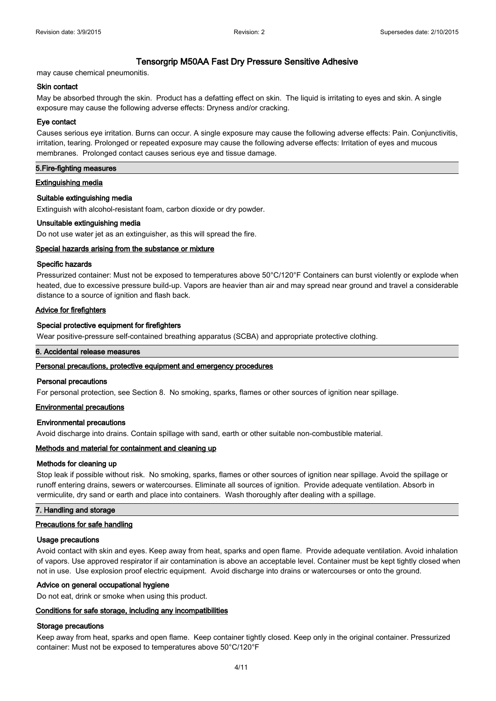may cause chemical pneumonitis.

#### **Skin contact**

May be absorbed through the skin. Product has a defatting effect on skin. The liquid is irritating to eyes and skin. A single exposure may cause the following adverse effects: Dryness and/or cracking.

#### **Eye contact**

Causes serious eye irritation. Burns can occur. A single exposure may cause the following adverse effects: Pain. Conjunctivitis, irritation, tearing. Prolonged or repeated exposure may cause the following adverse effects: Irritation of eyes and mucous membranes. Prolonged contact causes serious eye and tissue damage.

#### **5.Fire-fighting measures**

#### **Extinguishing media**

#### **Suitable extinguishing media**

Extinguish with alcohol-resistant foam, carbon dioxide or dry powder.

#### **Unsuitable extinguishing media**

Do not use water jet as an extinguisher, as this will spread the fire.

#### **Special hazards arising from the substance or mixture**

#### **Specific hazards**

Pressurized container: Must not be exposed to temperatures above 50°C/120°F Containers can burst violently or explode when heated, due to excessive pressure build-up. Vapors are heavier than air and may spread near ground and travel a considerable distance to a source of ignition and flash back.

#### **Advice for firefighters**

#### **Special protective equipment for firefighters**

Wear positive-pressure self-contained breathing apparatus (SCBA) and appropriate protective clothing.

#### **6. Accidental release measures**

#### **Personal precautions, protective equipment and emergency procedures**

#### **Personal precautions**

For personal protection, see Section 8. No smoking, sparks, flames or other sources of ignition near spillage.

#### **Environmental precautions**

#### **Environmental precautions**

Avoid discharge into drains. Contain spillage with sand, earth or other suitable non-combustible material.

#### **Methods and material for containment and cleaning up**

#### **Methods for cleaning up**

Stop leak if possible without risk. No smoking, sparks, flames or other sources of ignition near spillage. Avoid the spillage or runoff entering drains, sewers or watercourses. Eliminate all sources of ignition. Provide adequate ventilation. Absorb in vermiculite, dry sand or earth and place into containers. Wash thoroughly after dealing with a spillage.

#### **7. Handling and storage**

#### **Precautions for safe handling**

#### **Usage precautions**

Avoid contact with skin and eyes. Keep away from heat, sparks and open flame. Provide adequate ventilation. Avoid inhalation of vapors. Use approved respirator if air contamination is above an acceptable level. Container must be kept tightly closed when not in use. Use explosion proof electric equipment. Avoid discharge into drains or watercourses or onto the ground.

#### **Advice on general occupational hygiene**

Do not eat, drink or smoke when using this product.

#### **Conditions for safe storage, including any incompatibilities**

#### **Storage precautions**

Keep away from heat, sparks and open flame. Keep container tightly closed. Keep only in the original container. Pressurized container: Must not be exposed to temperatures above 50°C/120°F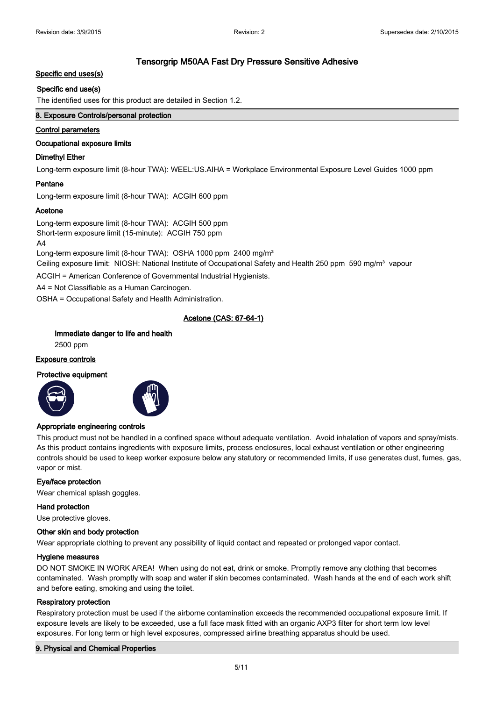#### **Specific end uses(s)**

#### **Specific end use(s)**

The identified uses for this product are detailed in Section 1.2.

#### **8. Exposure Controls/personal protection**

#### **Control parameters**

#### **Occupational exposure limits**

#### **Dimethyl Ether**

Long-term exposure limit (8-hour TWA): WEEL:US.AIHA = Workplace Environmental Exposure Level Guides 1000 ppm

#### **Pentane**

Long-term exposure limit (8-hour TWA): ACGIH 600 ppm

#### **Acetone**

Long-term exposure limit (8-hour TWA): ACGIH 500 ppm Short-term exposure limit (15-minute): ACGIH 750 ppm  $\mathbf{A}$ 

Long-term exposure limit (8-hour TWA): OSHA 1000 ppm 2400 mg/m<sup>3</sup> Ceiling exposure limit: NIOSH: National Institute of Occupational Safety and Health 250 ppm 590 mg/m<sup>3</sup> vapour

ACGIH = American Conference of Governmental Industrial Hygienists.

A4 = Not Classifiable as a Human Carcinogen.

OSHA = Occupational Safety and Health Administration.

#### **Acetone (CAS: 67-64-1)**

#### **Immediate danger to life and health**

2500 ppm

#### **Exposure controls**

#### **Protective equipment**





#### **Appropriate engineering controls**

This product must not be handled in a confined space without adequate ventilation. Avoid inhalation of vapors and spray/mists. As this product contains ingredients with exposure limits, process enclosures, local exhaust ventilation or other engineering controls should be used to keep worker exposure below any statutory or recommended limits, if use generates dust, fumes, gas, vapor or mist.

#### **Eye/face protection**

Wear chemical splash goggles.

#### **Hand protection**

Use protective gloves.

#### **Other skin and body protection**

Wear appropriate clothing to prevent any possibility of liquid contact and repeated or prolonged vapor contact.

#### **Hygiene measures**

DO NOT SMOKE IN WORK AREA! When using do not eat, drink or smoke. Promptly remove any clothing that becomes contaminated. Wash promptly with soap and water if skin becomes contaminated. Wash hands at the end of each work shift and before eating, smoking and using the toilet.

#### **Respiratory protection**

Respiratory protection must be used if the airborne contamination exceeds the recommended occupational exposure limit. If exposure levels are likely to be exceeded, use a full face mask fitted with an organic AXP3 filter for short term low level exposures. For long term or high level exposures, compressed airline breathing apparatus should be used.

#### **9. Physical and Chemical Properties**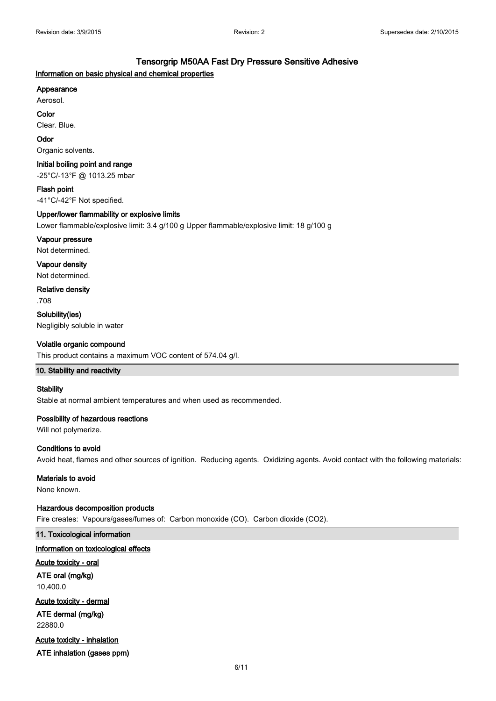#### **Information on basic physical and chemical properties**

#### **Appearance**

Aerosol.

**Color**

Clear. Blue.

#### **Odor**

Organic solvents.

#### **Initial boiling point and range**

-25°C/-13°F @ 1013.25 mbar

**Flash point** -41°C/-42°F Not specified.

#### **Upper/lower flammability or explosive limits**

Lower flammable/explosive limit: 3.4 g/100 g Upper flammable/explosive limit: 18 g/100 g

#### **Vapour pressure**

Not determined.

**Vapour density** Not determined.

**Relative density** .708

**Solubility(ies)** Negligibly soluble in water

#### **Volatile organic compound**

This product contains a maximum VOC content of 574.04 g/l.

#### **10. Stability and reactivity**

#### **Stability**

Stable at normal ambient temperatures and when used as recommended.

#### **Possibility of hazardous reactions**

Will not polymerize.

#### **Conditions to avoid**

Avoid heat, flames and other sources of ignition. Reducing agents. Oxidizing agents. Avoid contact with the following materials:

#### **Materials to avoid**

None known.

#### **Hazardous decomposition products**

Fire creates: Vapours/gases/fumes of: Carbon monoxide (CO). Carbon dioxide (CO2).

#### **11. Toxicological information**

#### **Information on toxicological effects**

**Acute toxicity - oral**

**ATE oral (mg/kg)** 10,400.0

#### **Acute toxicity - dermal ATE dermal (mg/kg)**

22880.0

#### **Acute toxicity - inhalation**

**ATE inhalation (gases ppm)**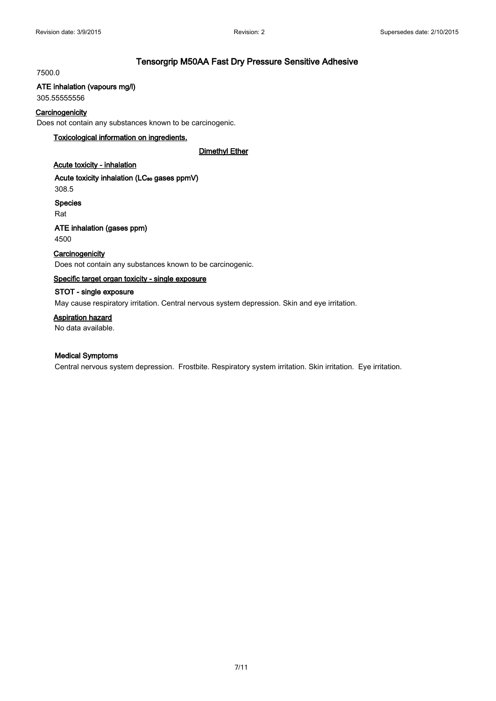#### 7500.0

#### **ATE inhalation (vapours mg/l)**

305.55555556

#### **Carcinogenicity**

Does not contain any substances known to be carcinogenic.

#### **Toxicological information on ingredients.**

**Dimethyl Ether**

#### **Acute toxicity - inhalation**

Acute toxicity inhalation (LC<sub>50</sub> gases ppmV) 308.5

**Species**

Rat

#### **ATE inhalation (gases ppm)** 4500

#### **Carcinogenicity**

Does not contain any substances known to be carcinogenic.

#### **Specific target organ toxicity - single exposure**

#### **STOT - single exposure**

May cause respiratory irritation. Central nervous system depression. Skin and eye irritation.

#### **Aspiration hazard**

No data available.

#### **Medical Symptoms**

Central nervous system depression. Frostbite. Respiratory system irritation. Skin irritation. Eye irritation.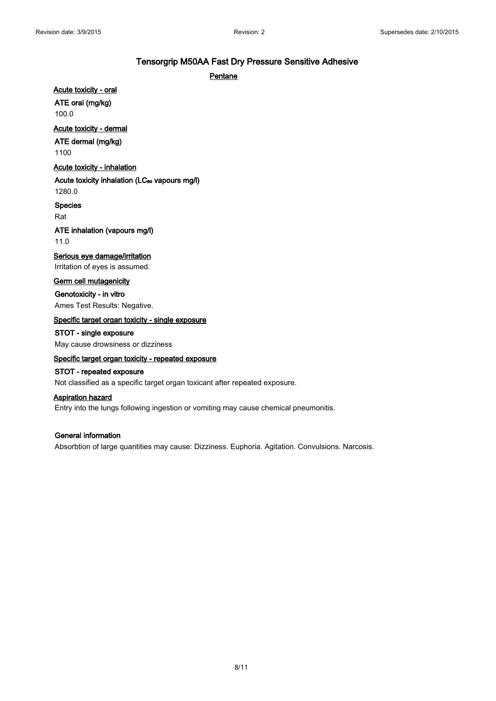#### **Pentane**

**Acute toxicity - oral**

**ATE oral (mg/kg)**

100.0

#### **Acute toxicity - dermal**

#### **ATE dermal (mg/kg)**

1100

#### **Acute toxicity - inhalation**

#### Acute toxicity inhalation (LC<sub>50</sub> vapours mg/l)

1280.0

#### **Species**

Rat

#### **ATE inhalation (vapours mg/l)** 11.0

#### **Serious eye damage/irritation**

Irritation of eyes is assumed.

#### **Germ cell mutagenicity**

**Genotoxicity - in vitro** Ames Test Results: Negative.

#### **Specific target organ toxicity - single exposure**

## **STOT - single exposure**

May cause drowsiness or dizziness

#### **Specific target organ toxicity - repeated exposure**

#### **STOT - repeated exposure**

Not classified as a specific target organ toxicant after repeated exposure.

#### **Aspiration hazard**

Entry into the lungs following ingestion or vomiting may cause chemical pneumonitis.

#### **General information**

Absorbtion of large quantities may cause: Dizziness. Euphoria. Agitation. Convulsions. Narcosis.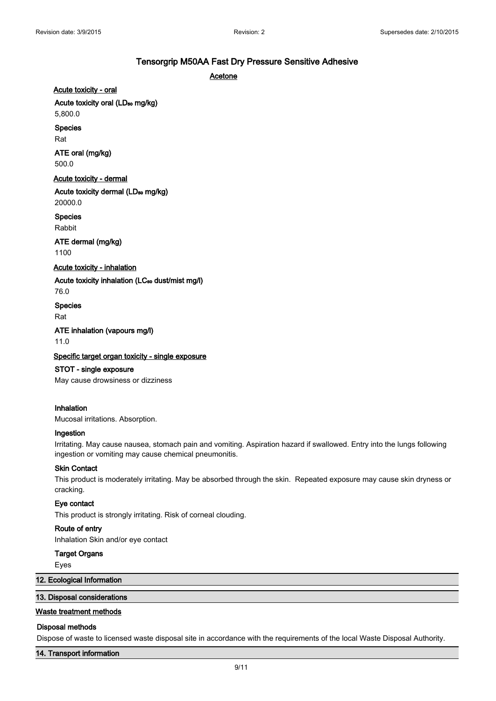**Acetone**

**Acute toxicity - oral**

Acute toxicity oral (LD<sub>50</sub> mg/kg)

5,800.0

**Species**

Rat

#### **ATE oral (mg/kg)** 500.0

**Acute toxicity - dermal**

Acute toxicity dermal (LD<sub>50</sub> mg/kg) 20000.0

**Species**

Rabbit

**ATE dermal (mg/kg)** 1100

#### **Acute toxicity - inhalation**

Acute toxicity inhalation (LC<sub>50</sub> dust/mist mg/l) 76.0

**Species**

Rat

**ATE inhalation (vapours mg/l)** 11.0

#### **Specific target organ toxicity - single exposure**

**STOT - single exposure** May cause drowsiness or dizziness

#### **Inhalation**

Mucosal irritations. Absorption.

#### **Ingestion**

Irritating. May cause nausea, stomach pain and vomiting. Aspiration hazard if swallowed. Entry into the lungs following ingestion or vomiting may cause chemical pneumonitis.

#### **Skin Contact**

This product is moderately irritating. May be absorbed through the skin. Repeated exposure may cause skin dryness or cracking.

#### **Eye contact**

This product is strongly irritating. Risk of corneal clouding.

#### **Route of entry**

Inhalation Skin and/or eye contact

#### **Target Organs**

Eyes

#### **12. Ecological Information**

#### **13. Disposal considerations**

#### **Waste treatment methods**

#### **Disposal methods**

Dispose of waste to licensed waste disposal site in accordance with the requirements of the local Waste Disposal Authority.

#### **14. Transport information**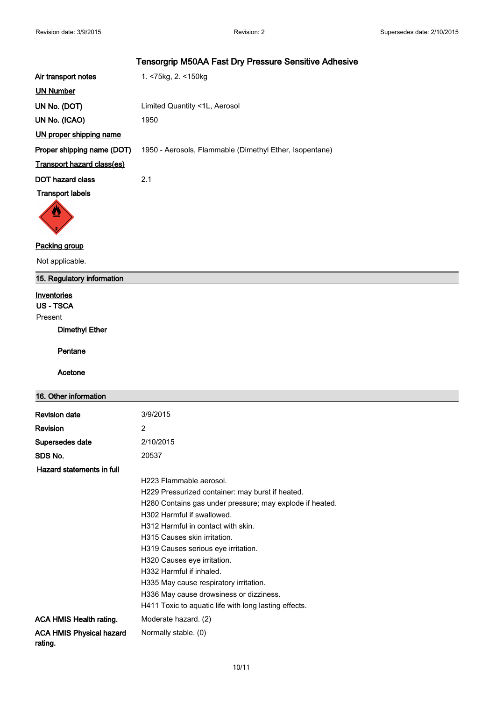| Air transport notes               | 1. <75kg, 2. <150kg                                     |
|-----------------------------------|---------------------------------------------------------|
| <b>UN Number</b>                  |                                                         |
| UN No. (DOT)                      | Limited Quantity <1L, Aerosol                           |
| UN No. (ICAO)                     | 1950                                                    |
| UN proper shipping name           |                                                         |
| Proper shipping name (DOT)        | 1950 - Aerosols, Flammable (Dimethyl Ether, Isopentane) |
| <b>Transport hazard class(es)</b> |                                                         |
| DOT hazard class                  | 2.1                                                     |
| <b>Transport labels</b>           |                                                         |
|                                   |                                                         |



#### **Packing group**

Not applicable.

#### **15. Regulatory information**

#### **Inventories**

**US - TSCA**

Present

#### **Dimethyl Ether**

**Pentane**

#### **Acetone**

| 16. Other information                      |                                                          |
|--------------------------------------------|----------------------------------------------------------|
| <b>Revision date</b>                       | 3/9/2015                                                 |
| <b>Revision</b>                            | 2                                                        |
| Supersedes date                            | 2/10/2015                                                |
| SDS No.                                    | 20537                                                    |
| Hazard statements in full                  |                                                          |
|                                            | H223 Flammable aerosol.                                  |
|                                            | H229 Pressurized container: may burst if heated.         |
|                                            | H280 Contains gas under pressure; may explode if heated. |
|                                            | H302 Harmful if swallowed.                               |
|                                            | H312 Harmful in contact with skin.                       |
|                                            | H315 Causes skin irritation.                             |
|                                            | H319 Causes serious eye irritation.                      |
|                                            | H320 Causes eye irritation.                              |
|                                            | H332 Harmful if inhaled.                                 |
|                                            | H335 May cause respiratory irritation.                   |
|                                            | H336 May cause drowsiness or dizziness.                  |
|                                            | H411 Toxic to aquatic life with long lasting effects.    |
| <b>ACA HMIS Health rating.</b>             | Moderate hazard. (2)                                     |
| <b>ACA HMIS Physical hazard</b><br>rating. | Normally stable. (0)                                     |